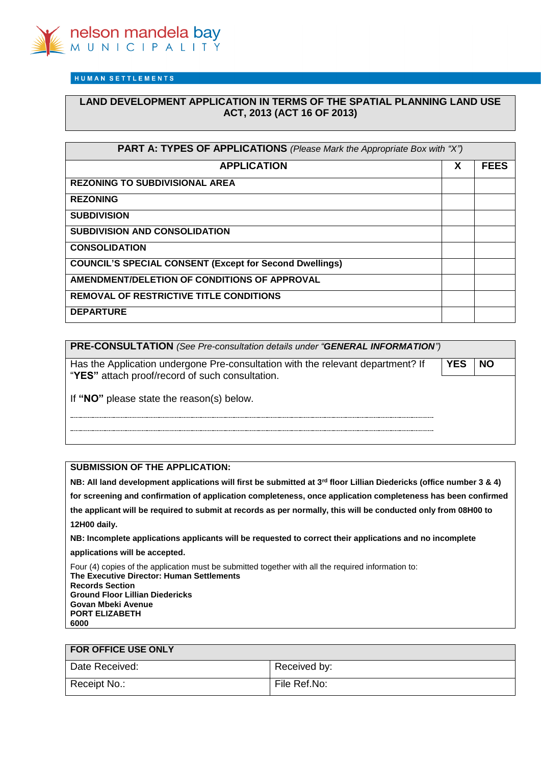

HUMAN SETTLEMENTS

# **LAND DEVELOPMENT APPLICATION IN TERMS OF THE SPATIAL PLANNING LAND USE ACT, 2013 (ACT 16 OF 2013)**

| <b>PART A: TYPES OF APPLICATIONS</b> (Please Mark the Appropriate Box with "X") |   |             |
|---------------------------------------------------------------------------------|---|-------------|
| <b>APPLICATION</b>                                                              | X | <b>FEES</b> |
| <b>REZONING TO SUBDIVISIONAL AREA</b>                                           |   |             |
| <b>REZONING</b>                                                                 |   |             |
| <b>SUBDIVISION</b>                                                              |   |             |
| <b>SUBDIVISION AND CONSOLIDATION</b>                                            |   |             |
| <b>CONSOLIDATION</b>                                                            |   |             |
| <b>COUNCIL'S SPECIAL CONSENT (Except for Second Dwellings)</b>                  |   |             |
| AMENDMENT/DELETION OF CONDITIONS OF APPROVAL                                    |   |             |
| <b>REMOVAL OF RESTRICTIVE TITLE CONDITIONS</b>                                  |   |             |
| <b>DEPARTURE</b>                                                                |   |             |

| PRE-CONSULTATION (See Pre-consultation details under "GENERAL INFORMATION")                                                        |            |           |  |
|------------------------------------------------------------------------------------------------------------------------------------|------------|-----------|--|
| Has the Application undergone Pre-consultation with the relevant department? If<br>"YES" attach proof/record of such consultation. | <b>YES</b> | <b>NO</b> |  |
| If "NO" please state the reason(s) below.                                                                                          |            |           |  |
|                                                                                                                                    |            |           |  |

### **SUBMISSION OF THE APPLICATION:**

**NB: All land development applications will first be submitted at 3rd floor Lillian Diedericks (office number 3 & 4) for screening and confirmation of application completeness, once application completeness has been confirmed the applicant will be required to submit at records as per normally, this will be conducted only from 08H00 to 12H00 daily.**

**NB: Incomplete applications applicants will be requested to correct their applications and no incomplete** 

**applications will be accepted.** 

Four (4) copies of the application must be submitted together with all the required information to: **The Executive Director: Human Settlements Records Section Ground Floor Lillian Diedericks Govan Mbeki Avenue PORT ELIZABETH 6000**

## **FOR OFFICE USE ONLY**

| Date Received: | Received by: |
|----------------|--------------|
| Receipt No.:   | File Ref.No: |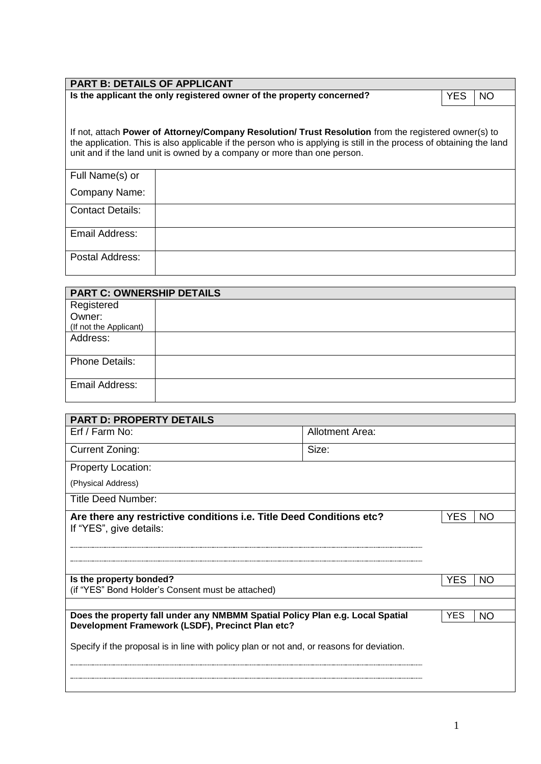| <b>PART B: DETAILS OF APPLICANT</b> |                                                                                                                                                                                                                                                                                                           |            |    |
|-------------------------------------|-----------------------------------------------------------------------------------------------------------------------------------------------------------------------------------------------------------------------------------------------------------------------------------------------------------|------------|----|
|                                     | Is the applicant the only registered owner of the property concerned?                                                                                                                                                                                                                                     | <b>YES</b> | NO |
|                                     |                                                                                                                                                                                                                                                                                                           |            |    |
|                                     | If not, attach Power of Attorney/Company Resolution/ Trust Resolution from the registered owner(s) to<br>the application. This is also applicable if the person who is applying is still in the process of obtaining the land<br>unit and if the land unit is owned by a company or more than one person. |            |    |
| Full Name(s) or                     |                                                                                                                                                                                                                                                                                                           |            |    |
| Company Name:                       |                                                                                                                                                                                                                                                                                                           |            |    |
| <b>Contact Details:</b>             |                                                                                                                                                                                                                                                                                                           |            |    |
| Email Address:                      |                                                                                                                                                                                                                                                                                                           |            |    |
| Postal Address:                     |                                                                                                                                                                                                                                                                                                           |            |    |

| <b>PART C: OWNERSHIP DETAILS</b> |  |
|----------------------------------|--|
| Registered                       |  |
| Owner:                           |  |
| (If not the Applicant)           |  |
| Address:                         |  |
| <b>Phone Details:</b>            |  |
| Email Address:                   |  |

| <b>PART D: PROPERTY DETAILS</b>                                                           |                        |            |     |
|-------------------------------------------------------------------------------------------|------------------------|------------|-----|
| Erf / Farm No:                                                                            | <b>Allotment Area:</b> |            |     |
| Current Zoning:                                                                           | Size:                  |            |     |
| <b>Property Location:</b>                                                                 |                        |            |     |
| (Physical Address)                                                                        |                        |            |     |
| <b>Title Deed Number:</b>                                                                 |                        |            |     |
| Are there any restrictive conditions i.e. Title Deed Conditions etc?                      |                        | YES        | NO. |
| If "YES", give details:                                                                   |                        |            |     |
|                                                                                           |                        |            |     |
|                                                                                           |                        |            |     |
| Is the property bonded?                                                                   |                        | YES        | NO  |
| (if "YES" Bond Holder's Consent must be attached)                                         |                        |            |     |
| Does the property fall under any NMBMM Spatial Policy Plan e.g. Local Spatial             |                        | <b>YES</b> | NO. |
| Development Framework (LSDF), Precinct Plan etc?                                          |                        |            |     |
| Specify if the proposal is in line with policy plan or not and, or reasons for deviation. |                        |            |     |
|                                                                                           |                        |            |     |
|                                                                                           |                        |            |     |
|                                                                                           |                        |            |     |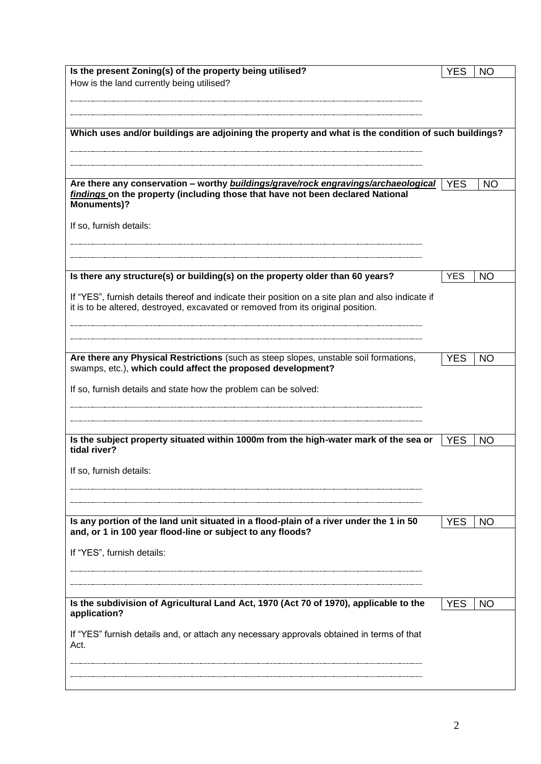| Is the present Zoning(s) of the property being utilised?                                            | <b>YES</b> | <b>NO</b> |
|-----------------------------------------------------------------------------------------------------|------------|-----------|
| How is the land currently being utilised?                                                           |            |           |
|                                                                                                     |            |           |
|                                                                                                     |            |           |
|                                                                                                     |            |           |
| Which uses and/or buildings are adjoining the property and what is the condition of such buildings? |            |           |
|                                                                                                     |            |           |
|                                                                                                     |            |           |
|                                                                                                     |            |           |
| Are there any conservation - worthy buildings/grave/rock engravings/archaeological                  | <b>YES</b> | <b>NO</b> |
| findings on the property (including those that have not been declared National                      |            |           |
| <b>Monuments)?</b>                                                                                  |            |           |
|                                                                                                     |            |           |
| If so, furnish details:                                                                             |            |           |
|                                                                                                     |            |           |
|                                                                                                     |            |           |
|                                                                                                     |            |           |
| Is there any structure(s) or building(s) on the property older than 60 years?                       | <b>YES</b> | <b>NO</b> |
|                                                                                                     |            |           |
| If "YES", furnish details thereof and indicate their position on a site plan and also indicate if   |            |           |
| it is to be altered, destroyed, excavated or removed from its original position.                    |            |           |
|                                                                                                     |            |           |
|                                                                                                     |            |           |
|                                                                                                     |            |           |
| Are there any Physical Restrictions (such as steep slopes, unstable soil formations,                | <b>YES</b> | <b>NO</b> |
| swamps, etc.), which could affect the proposed development?                                         |            |           |
|                                                                                                     |            |           |
| If so, furnish details and state how the problem can be solved:                                     |            |           |
|                                                                                                     |            |           |
|                                                                                                     |            |           |
|                                                                                                     |            |           |
| Is the subject property situated within 1000m from the high-water mark of the sea or                | <b>YES</b> | <b>NO</b> |
| tidal river?                                                                                        |            |           |
|                                                                                                     |            |           |
| If so, furnish details:                                                                             |            |           |
|                                                                                                     |            |           |
|                                                                                                     |            |           |
|                                                                                                     |            |           |
| Is any portion of the land unit situated in a flood-plain of a river under the 1 in 50              | <b>YES</b> | NO.       |
| and, or 1 in 100 year flood-line or subject to any floods?                                          |            |           |
|                                                                                                     |            |           |
| If "YES", furnish details:                                                                          |            |           |
|                                                                                                     |            |           |
|                                                                                                     |            |           |
|                                                                                                     |            |           |
| Is the subdivision of Agricultural Land Act, 1970 (Act 70 of 1970), applicable to the               | <b>YES</b> | <b>NO</b> |
| application?                                                                                        |            |           |
|                                                                                                     |            |           |
| If "YES" furnish details and, or attach any necessary approvals obtained in terms of that<br>Act.   |            |           |
|                                                                                                     |            |           |
|                                                                                                     |            |           |
|                                                                                                     |            |           |
|                                                                                                     |            |           |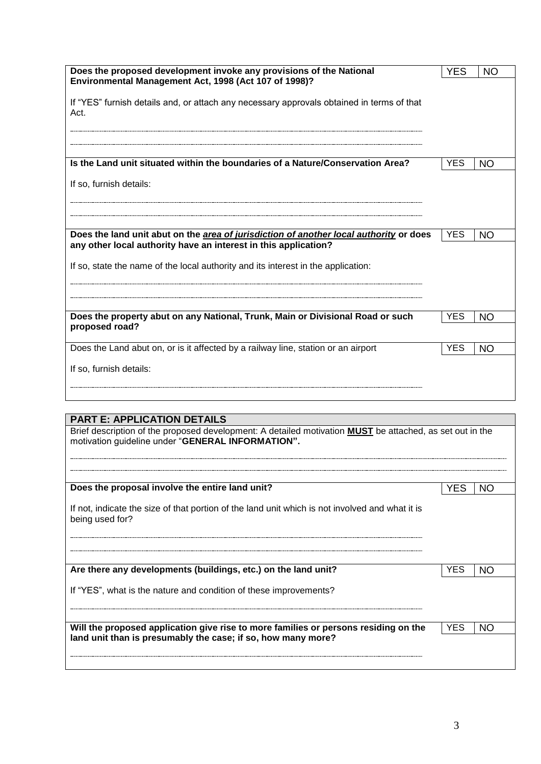| Does the proposed development invoke any provisions of the National<br>Environmental Management Act, 1998 (Act 107 of 1998)? |            | <b>NO</b> |
|------------------------------------------------------------------------------------------------------------------------------|------------|-----------|
|                                                                                                                              |            |           |
| If "YES" furnish details and, or attach any necessary approvals obtained in terms of that<br>Act.                            |            |           |
|                                                                                                                              |            |           |
| Is the Land unit situated within the boundaries of a Nature/Conservation Area?                                               | <b>YES</b> | NO        |
| If so, furnish details:                                                                                                      |            |           |
| Does the land unit abut on the area of jurisdiction of another local authority or does                                       | <b>YES</b> | NO        |
| any other local authority have an interest in this application?                                                              |            |           |
| If so, state the name of the local authority and its interest in the application:                                            |            |           |
|                                                                                                                              |            |           |
| Does the property abut on any National, Trunk, Main or Divisional Road or such                                               | <b>YES</b> | <b>NO</b> |
| proposed road?                                                                                                               |            |           |
| Does the Land abut on, or is it affected by a railway line, station or an airport                                            | <b>YES</b> | <b>NO</b> |
| If so, furnish details:                                                                                                      |            |           |
|                                                                                                                              |            |           |

# **PART E: APPLICATION DETAILS**

| Brief description of the proposed development: A detailed motivation <b>MUST</b> be attached, as set out in the |  |
|-----------------------------------------------------------------------------------------------------------------|--|
| motivation guideline under "GENERAL INFORMATION".                                                               |  |

| Does the proposal involve the entire land unit?                                                                                                     | YES        | NO  |
|-----------------------------------------------------------------------------------------------------------------------------------------------------|------------|-----|
| If not, indicate the size of that portion of the land unit which is not involved and what it is<br>being used for?                                  |            |     |
| Are there any developments (buildings, etc.) on the land unit?<br>If "YES", what is the nature and condition of these improvements?                 | YES        | NΩ  |
| Will the proposed application give rise to more families or persons residing on the<br>land unit than is presumably the case; if so, how many more? | <b>YES</b> | NO. |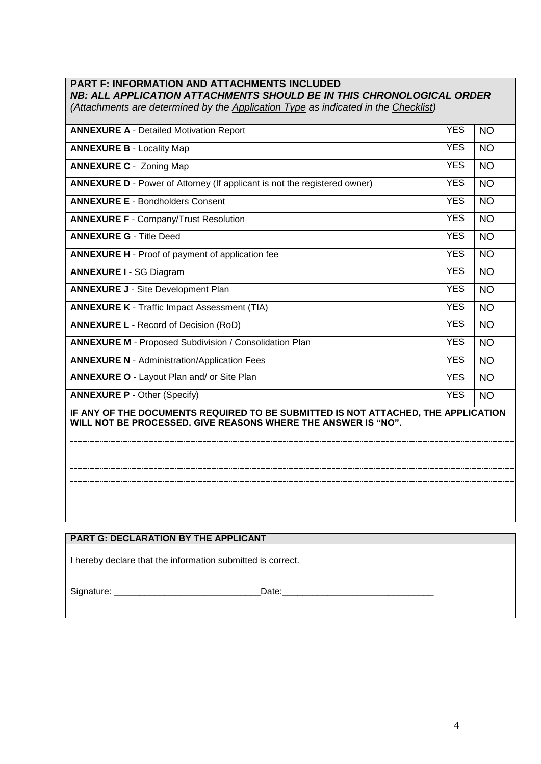# **PART F: INFORMATION AND ATTACHMENTS INCLUDED**

*NB: ALL APPLICATION ATTACHMENTS SHOULD BE IN THIS CHRONOLOGICAL ORDER (Attachments are determined by the Application Type as indicated in the Checklist)*

| <b>ANNEXURE A - Detailed Motivation Report</b>                                                                                                     | <b>YES</b> | <b>NO</b> |  |
|----------------------------------------------------------------------------------------------------------------------------------------------------|------------|-----------|--|
| <b>ANNEXURE B - Locality Map</b>                                                                                                                   | <b>YES</b> | <b>NO</b> |  |
| <b>ANNEXURE C - Zoning Map</b>                                                                                                                     | <b>YES</b> | <b>NO</b> |  |
| <b>ANNEXURE D</b> - Power of Attorney (If applicant is not the registered owner)                                                                   | <b>YES</b> | <b>NO</b> |  |
| <b>ANNEXURE E - Bondholders Consent</b>                                                                                                            | <b>YES</b> | <b>NO</b> |  |
| <b>ANNEXURE F - Company/Trust Resolution</b>                                                                                                       | <b>YES</b> | <b>NO</b> |  |
| <b>ANNEXURE G - Title Deed</b>                                                                                                                     | <b>YES</b> | <b>NO</b> |  |
| <b>ANNEXURE H</b> - Proof of payment of application fee                                                                                            | <b>YES</b> | <b>NO</b> |  |
| <b>ANNEXURE I - SG Diagram</b>                                                                                                                     | <b>YES</b> | <b>NO</b> |  |
| <b>ANNEXURE J - Site Development Plan</b>                                                                                                          | <b>YES</b> | <b>NO</b> |  |
| <b>ANNEXURE K - Traffic Impact Assessment (TIA)</b>                                                                                                | <b>YES</b> | <b>NO</b> |  |
| <b>ANNEXURE L - Record of Decision (RoD)</b>                                                                                                       | <b>YES</b> | <b>NO</b> |  |
| <b>ANNEXURE M - Proposed Subdivision / Consolidation Plan</b>                                                                                      | <b>YES</b> | <b>NO</b> |  |
| <b>ANNEXURE N - Administration/Application Fees</b>                                                                                                | <b>YES</b> | <b>NO</b> |  |
| <b>ANNEXURE O - Layout Plan and/ or Site Plan</b>                                                                                                  | <b>YES</b> | <b>NO</b> |  |
| <b>ANNEXURE P - Other (Specify)</b>                                                                                                                | <b>YES</b> | <b>NO</b> |  |
| IF ANY OF THE DOCUMENTS REQUIRED TO BE SUBMITTED IS NOT ATTACHED, THE APPLICATION<br>WILL NOT BE PROCESSED. GIVE REASONS WHERE THE ANSWER IS "NO". |            |           |  |
| PART G: DECLARATION BY THE APPLICANT                                                                                                               |            |           |  |

I hereby declare that the information submitted is correct.

Signature: \_\_\_\_\_\_\_\_\_\_\_\_\_\_\_\_\_\_\_\_\_\_\_\_\_\_\_\_\_Date:\_\_\_\_\_\_\_\_\_\_\_\_\_\_\_\_\_\_\_\_\_\_\_\_\_\_\_\_\_\_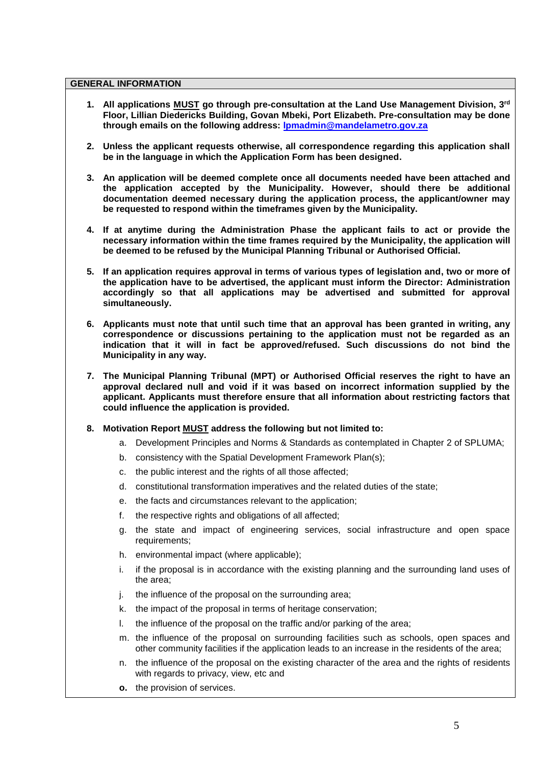#### **GENERAL INFORMATION**

- **1. All applications MUST go through pre-consultation at the Land Use Management Division, 3rd Floor, Lillian Diedericks Building, Govan Mbeki, Port Elizabeth. Pre-consultation may be done through emails on the following address: [lpmadmin@mandelametro.gov.za](mailto:lpmadmin@mandelametro.gov.za)**
- **2. Unless the applicant requests otherwise, all correspondence regarding this application shall be in the language in which the Application Form has been designed.**
- **3. An application will be deemed complete once all documents needed have been attached and the application accepted by the Municipality. However, should there be additional documentation deemed necessary during the application process, the applicant/owner may be requested to respond within the timeframes given by the Municipality.**
- **4. If at anytime during the Administration Phase the applicant fails to act or provide the necessary information within the time frames required by the Municipality, the application will be deemed to be refused by the Municipal Planning Tribunal or Authorised Official.**
- **5. If an application requires approval in terms of various types of legislation and, two or more of the application have to be advertised, the applicant must inform the Director: Administration accordingly so that all applications may be advertised and submitted for approval simultaneously.**
- **6. Applicants must note that until such time that an approval has been granted in writing, any correspondence or discussions pertaining to the application must not be regarded as an indication that it will in fact be approved/refused. Such discussions do not bind the Municipality in any way.**
- **7. The Municipal Planning Tribunal (MPT) or Authorised Official reserves the right to have an approval declared null and void if it was based on incorrect information supplied by the applicant. Applicants must therefore ensure that all information about restricting factors that could influence the application is provided.**
- **8. Motivation Report MUST address the following but not limited to:**
	- a. Development Principles and Norms & Standards as contemplated in Chapter 2 of SPLUMA;
	- b. consistency with the Spatial Development Framework Plan(s);
	- c. the public interest and the rights of all those affected;
	- d. constitutional transformation imperatives and the related duties of the state;
	- e. the facts and circumstances relevant to the application;
	- f. the respective rights and obligations of all affected;
	- g. the state and impact of engineering services, social infrastructure and open space requirements;
	- h. environmental impact (where applicable);
	- i. if the proposal is in accordance with the existing planning and the surrounding land uses of the area;
	- i. the influence of the proposal on the surrounding area:
	- k. the impact of the proposal in terms of heritage conservation;
	- l. the influence of the proposal on the traffic and/or parking of the area;
	- m. the influence of the proposal on surrounding facilities such as schools, open spaces and other community facilities if the application leads to an increase in the residents of the area;
	- n. the influence of the proposal on the existing character of the area and the rights of residents with regards to privacy, view, etc and
	- **o.** the provision of services.